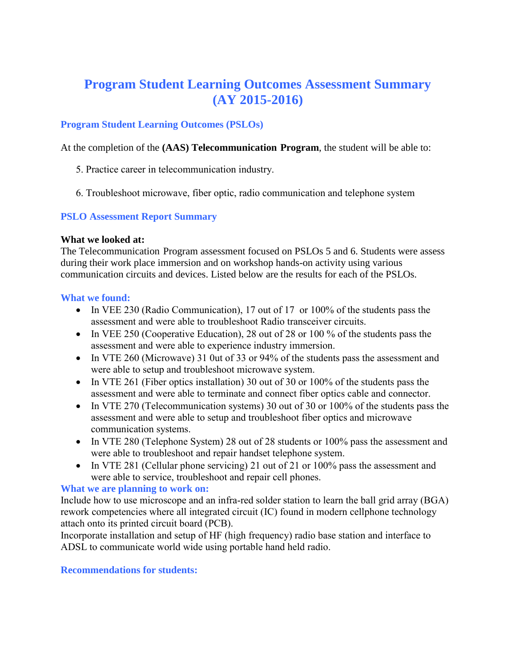# **Program Student Learning Outcomes Assessment Summary (AY 2015-2016)**

## **Program Student Learning Outcomes (PSLOs)**

At the completion of the **(AAS) Telecommunication Program**, the student will be able to:

- 5. Practice career in telecommunication industry.
- 6. Troubleshoot microwave, fiber optic, radio communication and telephone system

## **PSLO Assessment Report Summary**

#### **What we looked at:**

The Telecommunication Program assessment focused on PSLOs 5 and 6. Students were assess during their work place immersion and on workshop hands-on activity using various communication circuits and devices. Listed below are the results for each of the PSLOs.

#### **What we found:**

- In VEE 230 (Radio Communication), 17 out of 17 or 100% of the students pass the assessment and were able to troubleshoot Radio transceiver circuits.
- In VEE 250 (Cooperative Education), 28 out of 28 or 100 % of the students pass the assessment and were able to experience industry immersion.
- In VTE 260 (Microwave) 31 0ut of 33 or 94% of the students pass the assessment and were able to setup and troubleshoot microwave system.
- In VTE 261 (Fiber optics installation) 30 out of 30 or 100% of the students pass the assessment and were able to terminate and connect fiber optics cable and connector.
- In VTE 270 (Telecommunication systems) 30 out of 30 or 100% of the students pass the assessment and were able to setup and troubleshoot fiber optics and microwave communication systems.
- In VTE 280 (Telephone System) 28 out of 28 students or 100% pass the assessment and were able to troubleshoot and repair handset telephone system.
- In VTE 281 (Cellular phone servicing) 21 out of 21 or 100% pass the assessment and were able to service, troubleshoot and repair cell phones.

## **What we are planning to work on:**

Include how to use microscope and an infra-red solder station to learn the ball grid array (BGA) rework competencies where all integrated circuit (IC) found in modern cellphone technology attach onto its printed circuit board (PCB).

Incorporate installation and setup of HF (high frequency) radio base station and interface to ADSL to communicate world wide using portable hand held radio.

#### **Recommendations for students:**